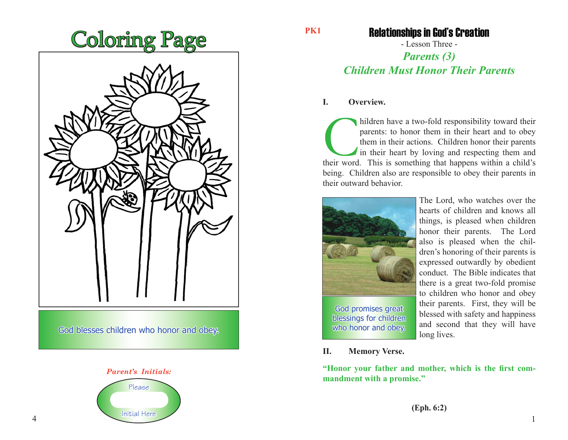



**PK1**

## Relationships in God's Creation

- Lesson Three -

# *Parents (3) Children Must Honor Their Parents*

#### **I. Overview.**

hildren have a two-fold responsibility toward their parents: to honor them in their heart and to obey them in their actions. Children honor their parents in their heart by loving and respecting them and their word. This is parents: to honor them in their heart and to obey them in their actions. Children honor their parents in their heart by loving and respecting them and being. Children also are responsible to obey their parents in their outward behavior.



The Lord, who watches over the hearts of children and knows all things, is pleased when children honor their parents. The Lord also is pleased when the children's honoring of their parents is expressed outwardly by obedient conduct. The Bible indicates that there is a great two-fold promise to children who honor and obey their parents. First, they will be blessed with safety and happiness and second that they will have long lives.

**II. Memory Verse.**

**"Honor your father and mother, which is the first commandment with a promise."**